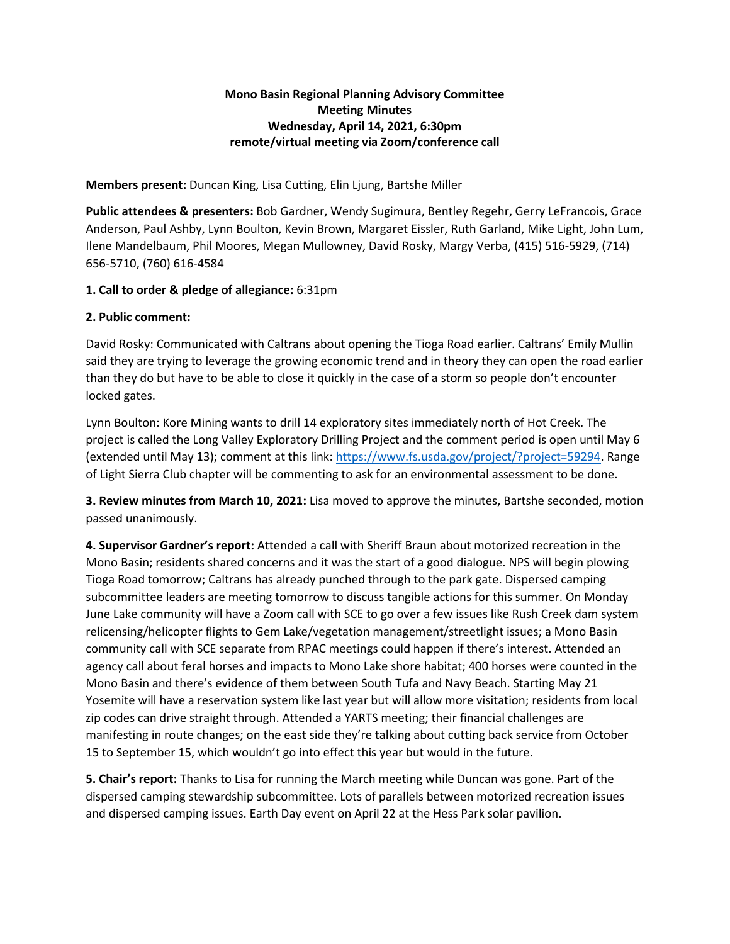# **Mono Basin Regional Planning Advisory Committee Meeting Minutes Wednesday, April 14, 2021, 6:30pm remote/virtual meeting via Zoom/conference call**

**Members present:** Duncan King, Lisa Cutting, Elin Ljung, Bartshe Miller

**Public attendees & presenters:** Bob Gardner, Wendy Sugimura, Bentley Regehr, Gerry LeFrancois, Grace Anderson, Paul Ashby, Lynn Boulton, Kevin Brown, Margaret Eissler, Ruth Garland, Mike Light, John Lum, Ilene Mandelbaum, Phil Moores, Megan Mullowney, David Rosky, Margy Verba, (415) 516-5929, (714) 656-5710, (760) 616-4584

### **1. Call to order & pledge of allegiance:** 6:31pm

### **2. Public comment:**

David Rosky: Communicated with Caltrans about opening the Tioga Road earlier. Caltrans' Emily Mullin said they are trying to leverage the growing economic trend and in theory they can open the road earlier than they do but have to be able to close it quickly in the case of a storm so people don't encounter locked gates.

Lynn Boulton: Kore Mining wants to drill 14 exploratory sites immediately north of Hot Creek. The project is called the Long Valley Exploratory Drilling Project and the comment period is open until May 6 (extended until May 13); comment at this link: [https://www.fs.usda.gov/project/?project=59294.](https://www.fs.usda.gov/project/?project=59294) Range of Light Sierra Club chapter will be commenting to ask for an environmental assessment to be done.

**3. Review minutes from March 10, 2021:** Lisa moved to approve the minutes, Bartshe seconded, motion passed unanimously.

**4. Supervisor Gardner's report:** Attended a call with Sheriff Braun about motorized recreation in the Mono Basin; residents shared concerns and it was the start of a good dialogue. NPS will begin plowing Tioga Road tomorrow; Caltrans has already punched through to the park gate. Dispersed camping subcommittee leaders are meeting tomorrow to discuss tangible actions for this summer. On Monday June Lake community will have a Zoom call with SCE to go over a few issues like Rush Creek dam system relicensing/helicopter flights to Gem Lake/vegetation management/streetlight issues; a Mono Basin community call with SCE separate from RPAC meetings could happen if there's interest. Attended an agency call about feral horses and impacts to Mono Lake shore habitat; 400 horses were counted in the Mono Basin and there's evidence of them between South Tufa and Navy Beach. Starting May 21 Yosemite will have a reservation system like last year but will allow more visitation; residents from local zip codes can drive straight through. Attended a YARTS meeting; their financial challenges are manifesting in route changes; on the east side they're talking about cutting back service from October 15 to September 15, which wouldn't go into effect this year but would in the future.

**5. Chair's report:** Thanks to Lisa for running the March meeting while Duncan was gone. Part of the dispersed camping stewardship subcommittee. Lots of parallels between motorized recreation issues and dispersed camping issues. Earth Day event on April 22 at the Hess Park solar pavilion.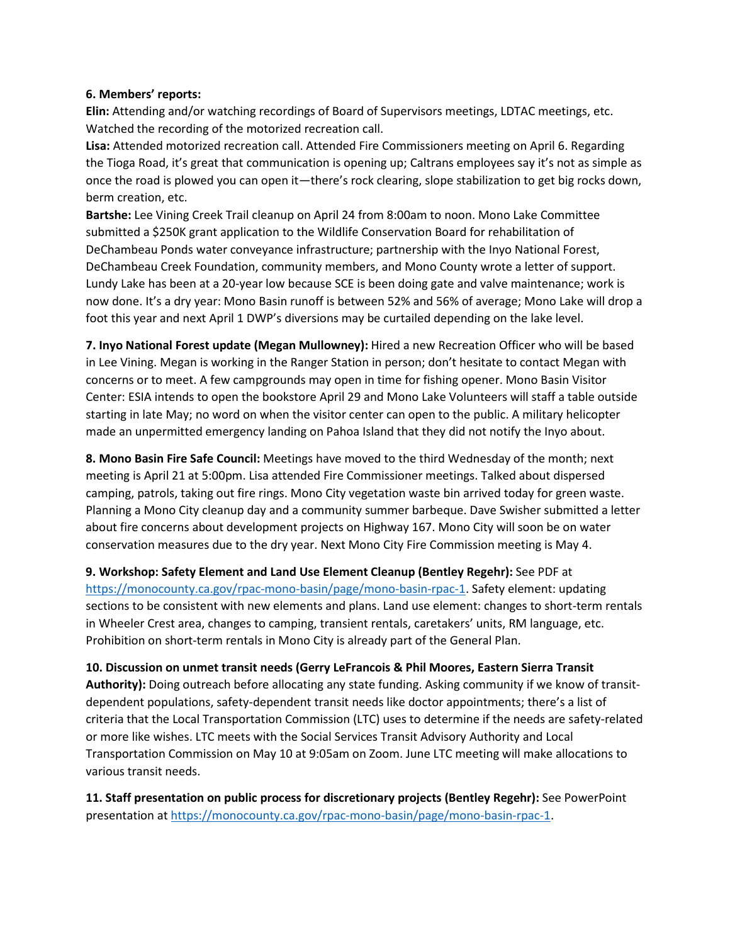#### **6. Members' reports:**

**Elin:** Attending and/or watching recordings of Board of Supervisors meetings, LDTAC meetings, etc. Watched the recording of the motorized recreation call.

**Lisa:** Attended motorized recreation call. Attended Fire Commissioners meeting on April 6. Regarding the Tioga Road, it's great that communication is opening up; Caltrans employees say it's not as simple as once the road is plowed you can open it—there's rock clearing, slope stabilization to get big rocks down, berm creation, etc.

**Bartshe:** Lee Vining Creek Trail cleanup on April 24 from 8:00am to noon. Mono Lake Committee submitted a \$250K grant application to the Wildlife Conservation Board for rehabilitation of DeChambeau Ponds water conveyance infrastructure; partnership with the Inyo National Forest, DeChambeau Creek Foundation, community members, and Mono County wrote a letter of support. Lundy Lake has been at a 20-year low because SCE is been doing gate and valve maintenance; work is now done. It's a dry year: Mono Basin runoff is between 52% and 56% of average; Mono Lake will drop a foot this year and next April 1 DWP's diversions may be curtailed depending on the lake level.

**7. Inyo National Forest update (Megan Mullowney):** Hired a new Recreation Officer who will be based in Lee Vining. Megan is working in the Ranger Station in person; don't hesitate to contact Megan with concerns or to meet. A few campgrounds may open in time for fishing opener. Mono Basin Visitor Center: ESIA intends to open the bookstore April 29 and Mono Lake Volunteers will staff a table outside starting in late May; no word on when the visitor center can open to the public. A military helicopter made an unpermitted emergency landing on Pahoa Island that they did not notify the Inyo about.

**8. Mono Basin Fire Safe Council:** Meetings have moved to the third Wednesday of the month; next meeting is April 21 at 5:00pm. Lisa attended Fire Commissioner meetings. Talked about dispersed camping, patrols, taking out fire rings. Mono City vegetation waste bin arrived today for green waste. Planning a Mono City cleanup day and a community summer barbeque. Dave Swisher submitted a letter about fire concerns about development projects on Highway 167. Mono City will soon be on water conservation measures due to the dry year. Next Mono City Fire Commission meeting is May 4.

**9. Workshop: Safety Element and Land Use Element Cleanup (Bentley Regehr):** See PDF at [https://monocounty.ca.gov/rpac-mono-basin/page/mono-basin-rpac-1.](https://monocounty.ca.gov/rpac-mono-basin/page/mono-basin-rpac-1) Safety element: updating sections to be consistent with new elements and plans. Land use element: changes to short-term rentals in Wheeler Crest area, changes to camping, transient rentals, caretakers' units, RM language, etc. Prohibition on short-term rentals in Mono City is already part of the General Plan.

**10. Discussion on unmet transit needs (Gerry LeFrancois & Phil Moores, Eastern Sierra Transit Authority):** Doing outreach before allocating any state funding. Asking community if we know of transitdependent populations, safety-dependent transit needs like doctor appointments; there's a list of criteria that the Local Transportation Commission (LTC) uses to determine if the needs are safety-related or more like wishes. LTC meets with the Social Services Transit Advisory Authority and Local Transportation Commission on May 10 at 9:05am on Zoom. June LTC meeting will make allocations to various transit needs.

**11. Staff presentation on public process for discretionary projects (Bentley Regehr):** See PowerPoint presentation at [https://monocounty.ca.gov/rpac-mono-basin/page/mono-basin-rpac-1.](https://monocounty.ca.gov/rpac-mono-basin/page/mono-basin-rpac-1)